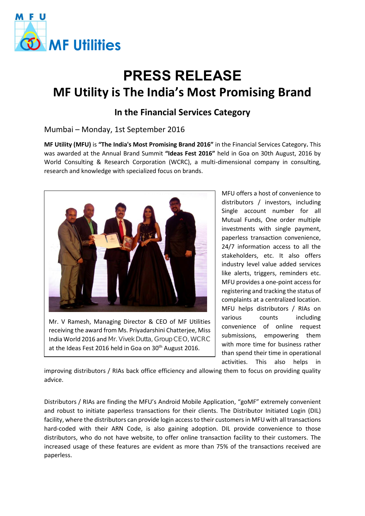

# **PRESS RELEASE MF Utility is The India's Most Promising Brand**

## **In the Financial Services Category**

### Mumbai – Monday, 1st September 2016

**MF Utility (MFU)** is **"The India's Most Promising Brand 2016"** in the Financial Services Category**.** This was awarded at the Annual Brand Summit **"Ideas Fest 2016"** held in Goa on 30th August, 2016 by World Consulting & Research Corporation (WCRC), a multi-dimensional company in consulting, research and knowledge with specialized focus on brands.



Mr. V Ramesh, Managing Director & CEO of MF Utilities receiving the award from Ms. Priyadarshini Chatterjee, Miss India World 2016 and Mr. Vivek Dutta, Group CEO, WCRC at the Ideas Fest 2016 held in Goa on 30<sup>th</sup> August 2016.

MFU offers a host of convenience to distributors / investors, including Single account number for all Mutual Funds, One order multiple investments with single payment, paperless transaction convenience, 24/7 information access to all the stakeholders, etc. It also offers industry level value added services like alerts, triggers, reminders etc. MFU provides a one-point access for registering and tracking the status of complaints at a centralized location. MFU helps distributors / RIAs on various counts including convenience of online request submissions, empowering them with more time for business rather than spend their time in operational activities. This also helps in

improving distributors / RIAs back office efficiency and allowing them to focus on providing quality advice.

Distributors / RIAs are finding the MFU's Android Mobile Application, "goMF" extremely convenient and robust to initiate paperless transactions for their clients. The Distributor Initiated Login (DIL) facility, where the distributors can provide login access to their customers in MFU with all transactions hard-coded with their ARN Code, is also gaining adoption. DIL provide convenience to those distributors, who do not have website, to offer online transaction facility to their customers. The increased usage of these features are evident as more than 75% of the transactions received are paperless.